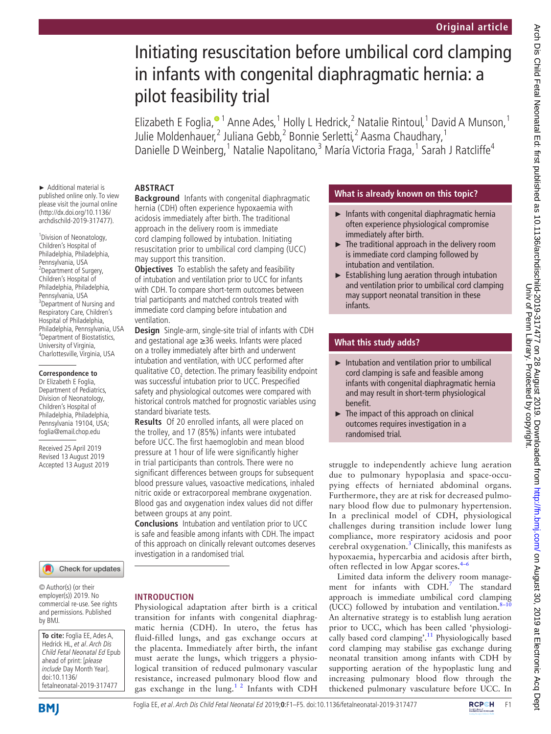# Initiating resuscitation before umbilical cord clamping in infants with congenital diaphragmatic hernia: a pilot feasibility trial

Elizabeth E Foglia,<sup>® 1</sup> Anne Ades,<sup>1</sup> Holly L Hedrick,<sup>2</sup> Natalie Rintoul,<sup>1</sup> David A Munson,<sup>1</sup> Julie Moldenhauer,<sup>[2](http://orcid.org/0000-0002-9925-5219)</sup> Juliana Gebb,<sup>2</sup> Bonnie Serletti,<sup>2</sup> Aasma Chaudhary,<sup>1</sup> Danielle D Weinberg,<sup>1</sup> Natalie Napolitano,<sup>3</sup> María Victoria Fraga,<sup>1</sup> Sarah J Ratcliffe<sup>4</sup>

## **Abstract**

► Additional material is published online only. To view please visit the journal online [\(http://dx.doi.org/10.1136/](http://dx.doi.org/10.1136archdischild-2019-317477) [archdischild-2019-317477](http://dx.doi.org/10.1136archdischild-2019-317477)).

<sup>1</sup> Division of Neonatology, Children's Hospital of Philadelphia, Philadelphia, Pennsylvania, USA <sup>2</sup>Department of Surgery, Children's Hospital of Philadelphia, Philadelphia, Pennsylvania, USA <sup>3</sup>Department of Nursing and Respiratory Care, Children's Hospital of Philadelphia, Philadelphia, Pennsylvania, USA 4 Department of Biostatistics, University of Virginia, Charlottesville, Virginia, USA

#### **Correspondence to**

Dr Elizabeth E Foglia, Department of Pediatrics, Division of Neonatology, Children's Hospital of Philadelphia, Philadelphia, Pennsylvania 19104, USA; foglia@email.chop.edu

Received 25 April 2019 Revised 13 August 2019 Accepted 13 August 2019



© Author(s) (or their employer(s)) 2019. No commercial re-use. See rights and permissions. Published by BMJ.



**Background** Infants with congenital diaphragmatic hernia (CDH) often experience hypoxaemia with acidosis immediately after birth. The traditional approach in the delivery room is immediate cord clamping followed by intubation. Initiating resuscitation prior to umbilical cord clamping (UCC) may support this transition.

**Objectives** To establish the safety and feasibility of intubation and ventilation prior to UCC for infants with CDH. To compare short-term outcomes between trial participants and matched controls treated with immediate cord clamping before intubation and ventilation.

**Design** Single-arm, single-site trial of infants with CDH and gestational age ≥36 weeks. Infants were placed on a trolley immediately after birth and underwent intubation and ventilation, with UCC performed after qualitative  $\mathsf{CO}_2$  detection. The primary feasibility endpoint was successful intubation prior to UCC. Prespecified safety and physiological outcomes were compared with historical controls matched for prognostic variables using standard bivariate tests.

**Results** Of 20 enrolled infants, all were placed on the trolley, and 17 (85%) infants were intubated before UCC. The first haemoglobin and mean blood pressure at 1 hour of life were significantly higher in trial participants than controls. There were no significant differences between groups for subsequent blood pressure values, vasoactive medications, inhaled nitric oxide or extracorporeal membrane oxygenation. Blood gas and oxygenation index values did not differ between groups at any point.

**Conclusions** Intubation and ventilation prior to UCC is safe and feasible among infants with CDH. The impact of this approach on clinically relevant outcomes deserves investigation in a randomised trial.

# **Introduction**

Physiological adaptation after birth is a critical transition for infants with congenital diaphragmatic hernia (CDH). In utero, the fetus has fluid-filled lungs, and gas exchange occurs at the placenta. Immediately after birth, the infant must aerate the lungs, which triggers a physiological transition of reduced pulmonary vascular resistance, increased pulmonary blood flow and gas exchange in the  $\text{lung.}^{12}$  Infants with CDH

# **What is already known on this topic?**

- ► Infants with congenital diaphragmatic hernia often experience physiological compromise immediately after birth.
- $\blacktriangleright$  The traditional approach in the delivery room is immediate cord clamping followed by intubation and ventilation.
- ► Establishing lung aeration through intubation and ventilation prior to umbilical cord clamping may support neonatal transition in these infants.

## **What this study adds?**

- ► Intubation and ventilation prior to umbilical cord clamping is safe and feasible among infants with congenital diaphragmatic hernia and may result in short-term physiological benefit.
- $\blacktriangleright$  The impact of this approach on clinical outcomes requires investigation in a randomised trial.

struggle to independently achieve lung aeration due to pulmonary hypoplasia and space-occupying effects of herniated abdominal organs. Furthermore, they are at risk for decreased pulmonary blood flow due to pulmonary hypertension. In a preclinical model of CDH, physiological challenges during transition include lower lung compliance, more respiratory acidosis and poor cerebral oxygenation.<sup>[3](#page-4-1)</sup> Clinically, this manifests as hypoxaemia, hypercarbia and acidosis after birth, often reflected in low Apgar scores.[4–6](#page-4-2)

Limited data inform the delivery room manage-ment for infants with CDH.<sup>[7](#page-4-3)</sup> The standard approach is immediate umbilical cord clamping (UCC) followed by intubation and ventilation. $8-1$ An alternative strategy is to establish lung aeration prior to UCC, which has been called 'physiologi-cally based cord clamping'.<sup>[11](#page-4-5)</sup> Physiologically based cord clamping may stabilise gas exchange during neonatal transition among infants with CDH by supporting aeration of the hypoplastic lung and increasing pulmonary blood flow through the thickened pulmonary vasculature before UCC. In

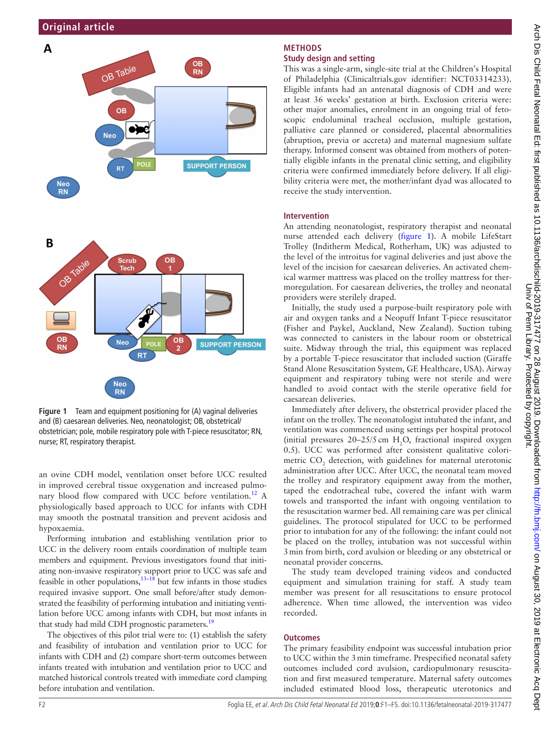

<span id="page-1-0"></span>**Figure 1** Team and equipment positioning for (A) vaginal deliveries and (B) caesarean deliveries. Neo, neonatologist; OB, obstetrical/ obstetrician; pole, mobile respiratory pole with T-piece resuscitator; RN, nurse; RT, respiratory therapist.

an ovine CDH model, ventilation onset before UCC resulted in improved cerebral tissue oxygenation and increased pulmo-nary blood flow compared with UCC before ventilation.<sup>[12](#page-4-6)</sup> A physiologically based approach to UCC for infants with CDH may smooth the postnatal transition and prevent acidosis and hypoxaemia.

Performing intubation and establishing ventilation prior to UCC in the delivery room entails coordination of multiple team members and equipment. Previous investigators found that initiating non-invasive respiratory support prior to UCC was safe and feasible in other populations, $13-18$  but few infants in those studies required invasive support. One small before/after study demonstrated the feasibility of performing intubation and initiating ventilation before UCC among infants with CDH, but most infants in that study had mild CDH prognostic parameters.<sup>19</sup>

The objectives of this pilot trial were to: (1) establish the safety and feasibility of intubation and ventilation prior to UCC for infants with CDH and (2) compare short-term outcomes between infants treated with intubation and ventilation prior to UCC and matched historical controls treated with immediate cord clamping before intubation and ventilation.

# **Methods Study design and setting**

This was a single-arm, single-site trial at the Children's Hospital of Philadelphia (Clinicaltrials.gov identifier: NCT03314233). Eligible infants had an antenatal diagnosis of CDH and were at least 36 weeks' gestation at birth. Exclusion criteria were: other major anomalies, enrolment in an ongoing trial of fetoscopic endoluminal tracheal occlusion, multiple gestation, palliative care planned or considered, placental abnormalities (abruption, previa or accreta) and maternal magnesium sulfate therapy. Informed consent was obtained from mothers of potentially eligible infants in the prenatal clinic setting, and eligibility criteria were confirmed immediately before delivery. If all eligibility criteria were met, the mother/infant dyad was allocated to receive the study intervention.

## **Intervention**

An attending neonatologist, respiratory therapist and neonatal nurse attended each delivery [\(figure](#page-1-0) 1). A mobile LifeStart Trolley (Inditherm Medical, Rotherham, UK) was adjusted to the level of the introitus for vaginal deliveries and just above the level of the incision for caesarean deliveries. An activated chemical warmer mattress was placed on the trolley mattress for thermoregulation. For caesarean deliveries, the trolley and neonatal providers were sterilely draped.

Initially, the study used a purpose-built respiratory pole with air and oxygen tanks and a Neopuff Infant T-piece resuscitator (Fisher and Paykel, Auckland, New Zealand). Suction tubing was connected to canisters in the labour room or obstetrical suite. Midway through the trial, this equipment was replaced by a portable T-piece resuscitator that included suction (Giraffe Stand Alone Resuscitation System, GE Healthcare, USA). Airway equipment and respiratory tubing were not sterile and were handled to avoid contact with the sterile operative field for caesarean deliveries.

Immediately after delivery, the obstetrical provider placed the infant on the trolley. The neonatologist intubated the infant, and ventilation was commenced using settings per hospital protocol (initial pressures  $20-25/5$  cm H<sub>2</sub>O, fractional inspired oxygen 0.5). UCC was performed after consistent qualitative colorimetric  $CO<sub>2</sub>$  detection, with guidelines for maternal uterotonic administration after UCC. After UCC, the neonatal team moved the trolley and respiratory equipment away from the mother, taped the endotracheal tube, covered the infant with warm towels and transported the infant with ongoing ventilation to the resuscitation warmer bed. All remaining care was per clinical guidelines. The protocol stipulated for UCC to be performed prior to intubation for any of the following: the infant could not be placed on the trolley, intubation was not successful within 3min from birth, cord avulsion or bleeding or any obstetrical or neonatal provider concerns.

The study team developed training videos and conducted equipment and simulation training for staff. A study team member was present for all resuscitations to ensure protocol adherence. When time allowed, the intervention was video recorded.

#### **Outcomes**

The primary feasibility endpoint was successful intubation prior to UCC within the 3min timeframe. Prespecified neonatal safety outcomes included cord avulsion, cardiopulmonary resuscitation and first measured temperature. Maternal safety outcomes included estimated blood loss, therapeutic uterotonics and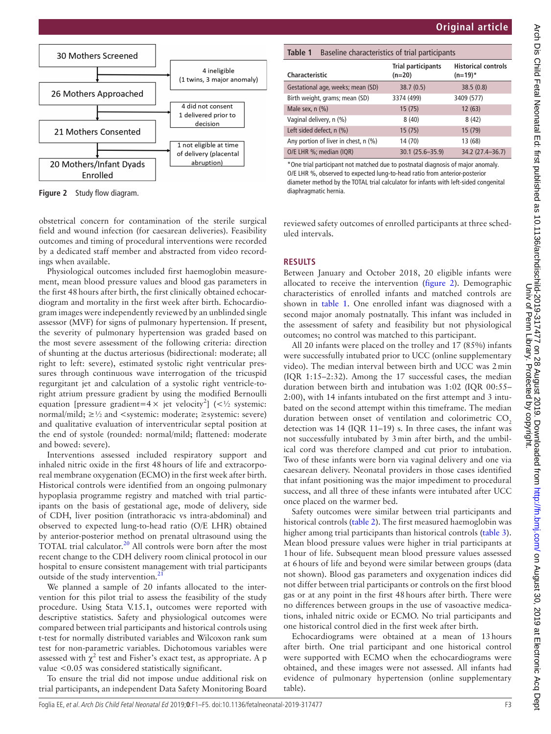

<span id="page-2-0"></span>**Figure 2** Study flow diagram.

obstetrical concern for contamination of the sterile surgical field and wound infection (for caesarean deliveries). Feasibility outcomes and timing of procedural interventions were recorded by a dedicated staff member and abstracted from video recordings when available.

Physiological outcomes included first haemoglobin measurement, mean blood pressure values and blood gas parameters in the first 48hours after birth, the first clinically obtained echocardiogram and mortality in the first week after birth. Echocardiogram images were independently reviewed by an unblinded single assessor (MVF) for signs of pulmonary hypertension. If present, the severity of pulmonary hypertension was graded based on the most severe assessment of the following criteria: direction of shunting at the ductus arteriosus (bidirectional: moderate; all right to left: severe), estimated systolic right ventricular pressures through continuous wave interrogation of the tricuspid regurgitant jet and calculation of a systolic right ventricle-toright atrium pressure gradient by using the modified Bernoulli equation [pressure gradient=4  $\times$  jet velocity<sup>2</sup>] (<1/<sub>2</sub> systemic: normal/mild;  $\geq \frac{1}{2}$  and <systemic: moderate;  $\geq$ systemic: severe) and qualitative evaluation of interventricular septal position at the end of systole (rounded: normal/mild; flattened: moderate and bowed: severe).

Interventions assessed included respiratory support and inhaled nitric oxide in the first 48hours of life and extracorporeal membrane oxygenation (ECMO) in the first week after birth. Historical controls were identified from an ongoing pulmonary hypoplasia programme registry and matched with trial participants on the basis of gestational age, mode of delivery, side of CDH, liver position (intrathoracic vs intra-abdominal) and observed to expected lung-to-head ratio (O/E LHR) obtained by anterior-posterior method on prenatal ultrasound using the TOTAL trial calculator.<sup>[20](#page-4-9)</sup> All controls were born after the most recent change to the CDH delivery room clinical protocol in our hospital to ensure consistent management with trial participants outside of the study intervention.<sup>[21](#page-4-10)</sup>

We planned a sample of 20 infants allocated to the intervention for this pilot trial to assess the feasibility of the study procedure. Using Stata V.15.1, outcomes were reported with descriptive statistics. Safety and physiological outcomes were compared between trial participants and historical controls using t-test for normally distributed variables and Wilcoxon rank sum test for non-parametric variables. Dichotomous variables were assessed with  $\chi^2$  test and Fisher's exact test, as appropriate. A p value <0.05 was considered statistically significant.

To ensure the trial did not impose undue additional risk on trial participants, an independent Data Safety Monitoring Board

<span id="page-2-1"></span>

| Table 1<br>Baseline characteristics of trial participants |                                       |                                          |  |  |  |
|-----------------------------------------------------------|---------------------------------------|------------------------------------------|--|--|--|
| <b>Characteristic</b>                                     | <b>Trial participants</b><br>$(n=20)$ | <b>Historical controls</b><br>$(n=19)^*$ |  |  |  |
| Gestational age, weeks; mean (SD)                         | 38.7(0.5)                             | 38.5(0.8)                                |  |  |  |
| Birth weight, grams; mean (SD)                            | 3374 (499)                            | 3409 (577)                               |  |  |  |
| Male sex, $n$ $(\%)$                                      | 15(75)                                | 12(63)                                   |  |  |  |
| Vaginal delivery, n (%)                                   | 8(40)                                 | 8(42)                                    |  |  |  |
| Left sided defect, n (%)                                  | 15(75)                                | 15 (79)                                  |  |  |  |
| Any portion of liver in chest, n (%)                      | 14 (70)                               | 13 (68)                                  |  |  |  |
| O/E LHR %; median (IQR)                                   | $30.1(25.6 - 35.9)$                   | 34.2 (27.4-36.7)                         |  |  |  |

\*One trial participant not matched due to postnatal diagnosis of major anomaly. O/E LHR %, observed to expected lung-to-head ratio from anterior-posterior diameter method by the TOTAL trial calculator for infants with left-sided congenital diaphragmatic hernia.

reviewed safety outcomes of enrolled participants at three scheduled intervals.

## **Results**

Between January and October 2018, 20 eligible infants were allocated to receive the intervention ([figure](#page-2-0) 2). Demographic characteristics of enrolled infants and matched controls are shown in [table](#page-2-1) 1. One enrolled infant was diagnosed with a second major anomaly postnatally. This infant was included in the assessment of safety and feasibility but not physiological outcomes; no control was matched to this participant.

All 20 infants were placed on the trolley and 17 (85%) infants were successfully intubated prior to UCC [\(online supplementary](https://dx.doi.org/10.1136/fetalneonatal-2019-317477) [video\)](https://dx.doi.org/10.1136/fetalneonatal-2019-317477). The median interval between birth and UCC was 2min (IQR 1:15–2:32). Among the 17 successful cases, the median duration between birth and intubation was 1:02 (IQR 00:55– 2:00), with 14 infants intubated on the first attempt and 3 intubated on the second attempt within this timeframe. The median duration between onset of ventilation and colorimetric  $CO<sub>2</sub>$ detection was 14 (IQR 11–19) s. In three cases, the infant was not successfully intubated by 3min after birth, and the umbilical cord was therefore clamped and cut prior to intubation. Two of these infants were born via vaginal delivery and one via caesarean delivery. Neonatal providers in those cases identified that infant positioning was the major impediment to procedural success, and all three of these infants were intubated after UCC once placed on the warmer bed.

Safety outcomes were similar between trial participants and historical controls ([table](#page-3-0) 2). The first measured haemoglobin was higher among trial participants than historical controls ([table](#page-3-1) 3). Mean blood pressure values were higher in trial participants at 1hour of life. Subsequent mean blood pressure values assessed at 6hours of life and beyond were similar between groups (data not shown). Blood gas parameters and oxygenation indices did not differ between trial participants or controls on the first blood gas or at any point in the first 48hours after birth. There were no differences between groups in the use of vasoactive medications, inhaled nitric oxide or ECMO. No trial participants and one historical control died in the first week after birth.

Echocardiograms were obtained at a mean of 13hours after birth. One trial participant and one historical control were supported with ECMO when the echocardiograms were obtained, and these images were not assessed. All infants had evidence of pulmonary hypertension ([online supplementary](https://dx.doi.org/10.1136/fetalneonatal-2019-317477) [table](https://dx.doi.org/10.1136/fetalneonatal-2019-317477)).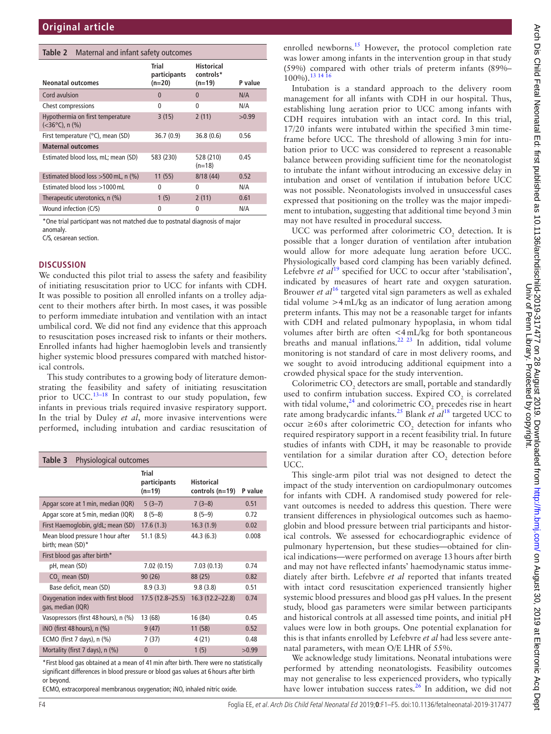#### <span id="page-3-0"></span>**Table 2** Maternal and infant safety outcomes

|                                                                 | Trial<br>participants | <b>Historical</b><br>controls* |         |
|-----------------------------------------------------------------|-----------------------|--------------------------------|---------|
| Neonatal outcomes                                               | (n=20)                | $(n=19)$                       | P value |
| Cord avulsion                                                   | 0                     | 0                              | N/A     |
| Chest compressions                                              | $\Omega$              | $\Omega$                       | N/A     |
| Hypothermia on first temperature<br>$(<36^{\circ}C)$ , n $(\%)$ | 3(15)                 | 2(11)                          | >0.99   |
| First temperature (°C), mean (SD)                               | 36.7(0.9)             | 36.8(0.6)                      | 0.56    |
| <b>Maternal outcomes</b>                                        |                       |                                |         |
| Estimated blood loss, mL; mean (SD)                             | 583 (230)             | 528 (210)<br>$(n=18)$          | 0.45    |
| Estimated blood loss $>500$ mL, n (%)                           | 11(55)                | 8/18(44)                       | 0.52    |
| Estimated blood loss >1000 mL                                   | 0                     | $\Omega$                       | N/A     |
| Therapeutic uterotonics, n (%)                                  | 1(5)                  | 2(11)                          | 0.61    |
| Wound infection (C/S)                                           | 0                     | 0                              | N/A     |

\*One trial participant was not matched due to postnatal diagnosis of major anomaly.

C/S, cesarean section.

#### **Discussion**

We conducted this pilot trial to assess the safety and feasibility of initiating resuscitation prior to UCC for infants with CDH. It was possible to position all enrolled infants on a trolley adjacent to their mothers after birth. In most cases, it was possible to perform immediate intubation and ventilation with an intact umbilical cord. We did not find any evidence that this approach to resuscitation poses increased risk to infants or their mothers. Enrolled infants had higher haemoglobin levels and transiently higher systemic blood pressures compared with matched historical controls.

This study contributes to a growing body of literature demonstrating the feasibility and safety of initiating resuscitation prior to UCC.<sup>13-18</sup> In contrast to our study population, few infants in previous trials required invasive respiratory support. In the trial by Duley *et al*, more invasive interventions were performed, including intubation and cardiac resuscitation of

<span id="page-3-1"></span>

| Table 3<br>Physiological outcomes                       |                                          |                                        |         |  |  |
|---------------------------------------------------------|------------------------------------------|----------------------------------------|---------|--|--|
|                                                         | <b>Trial</b><br>participants<br>$(n=19)$ | <b>Historical</b><br>controls $(n=19)$ | P value |  |  |
| Apgar score at 1 min, median (IQR)                      | $5(3-7)$                                 | $7(3-8)$                               | 0.51    |  |  |
| Apgar score at 5 min, median (IQR)                      | $8(5-8)$                                 | $8(5-9)$                               | 0.72    |  |  |
| First Haemoglobin, g/dL; mean (SD)                      | 17.6(1.3)                                | 16.3(1.9)                              | 0.02    |  |  |
| Mean blood pressure 1 hour after<br>birth; mean (SD)*   | 51.1(8.5)                                | 44.3(6.3)                              | 0.008   |  |  |
| First blood gas after birth*                            |                                          |                                        |         |  |  |
| pH, mean (SD)                                           | 7.02(0.15)                               | 7.03(0.13)                             | 0.74    |  |  |
| CO <sub>2</sub> mean (SD)                               | 90(26)                                   | 88 (25)                                | 0.82    |  |  |
| Base deficit, mean (SD)                                 | 8.9(3.3)                                 | 9.8(3.8)                               | 0.51    |  |  |
| Oxygenation index with first blood<br>gas, median (IQR) | $17.5(12.8 - 25.5)$                      | $16.3(12.2 - 22.8)$                    | 0.74    |  |  |
| Vasopressors (first 48 hours), n (%)                    | 13 (68)                                  | 16 (84)                                | 0.45    |  |  |
| iNO (first 48 hours), n (%)                             | 9(47)                                    | 11(58)                                 | 0.52    |  |  |
| ECMO (first 7 days), n (%)                              | 7 (37)                                   | 4 (21)                                 | 0.48    |  |  |
| Mortality (first 7 days), n (%)                         | $\mathbf{0}$                             | 1(5)                                   | >0.99   |  |  |

\*First blood gas obtained at a mean of 41min after birth. There were no statistically significant differences in blood pressure or blood gas values at 6 hours after birth or beyond.

ECMO, extracorporeal membranous oxygenation; iNO, inhaled nitric oxide.

enrolled newborns.<sup>15</sup> However, the protocol completion rate was lower among infants in the intervention group in that study (59%) compared with other trials of preterm infants (89%–  $100\%$ ).<sup>13 14 1</sup>

Intubation is a standard approach to the delivery room management for all infants with CDH in our hospital. Thus, establishing lung aeration prior to UCC among infants with CDH requires intubation with an intact cord. In this trial, 17/20 infants were intubated within the specified 3min timeframe before UCC. The threshold of allowing 3min for intubation prior to UCC was considered to represent a reasonable balance between providing sufficient time for the neonatologist to intubate the infant without introducing an excessive delay in intubation and onset of ventilation if intubation before UCC was not possible. Neonatologists involved in unsuccessful cases expressed that positioning on the trolley was the major impediment to intubation, suggesting that additional time beyond 3min may not have resulted in procedural success.

UCC was performed after colorimetric  $CO<sub>2</sub>$  detection. It is possible that a longer duration of ventilation after intubation would allow for more adequate lung aeration before UCC. Physiologically based cord clamping has been variably defined. Lefebvre *et al*<sup>[19](#page-4-8)</sup> specified for UCC to occur after 'stabilisation', indicated by measures of heart rate and oxygen saturation. Brouwer *et al*[16](#page-4-12) targeted vital sign parameters as well as exhaled tidal volume >4mL/kg as an indicator of lung aeration among preterm infants. This may not be a reasonable target for infants with CDH and related pulmonary hypoplasia, in whom tidal volumes after birth are often <4mL/kg for both spontaneous breaths and manual inflations.<sup>22</sup>  $23 \text{ In addition, tidal volume}$ monitoring is not standard of care in most delivery rooms, and we sought to avoid introducing additional equipment into a crowded physical space for the study intervention.

Colorimetric  $CO_2$  detectors are small, portable and standardly used to confirm intubation success. Expired  $CO<sub>2</sub>$  is correlated with tidal volume,  $^{24}$  and colorimetric CO<sub>2</sub> precedes rise in heart rate among bradycardic infants[.25](#page-4-15) Blank *et al*[18](#page-4-16) targeted UCC to occur ≥60s after colorimetric  $CO_2$  detection for infants who required respiratory support in a recent feasibility trial. In future studies of infants with CDH, it may be reasonable to provide ventilation for a similar duration after  $CO<sub>2</sub>$  detection before UCC.

This single-arm pilot trial was not designed to detect the impact of the study intervention on cardiopulmonary outcomes for infants with CDH. A randomised study powered for relevant outcomes is needed to address this question. There were transient differences in physiological outcomes such as haemoglobin and blood pressure between trial participants and historical controls. We assessed for echocardiographic evidence of pulmonary hypertension, but these studies—obtained for clinical indications—were performed on average 13hours after birth and may not have reflected infants' haemodynamic status immediately after birth. Lefebvre *et al* reported that infants treated with intact cord resuscitation experienced transiently higher systemic blood pressures and blood gas pH values. In the present study, blood gas parameters were similar between participants and historical controls at all assessed time points, and initial pH values were low in both groups. One potential explanation for this is that infants enrolled by Lefebvre *et al* had less severe antenatal parameters, with mean O/E LHR of 55%.

We acknowledge study limitations. Neonatal intubations were performed by attending neonatologists. Feasibility outcomes may not generalise to less experienced providers, who typically have lower intubation success rates.<sup>26</sup> In addition, we did not